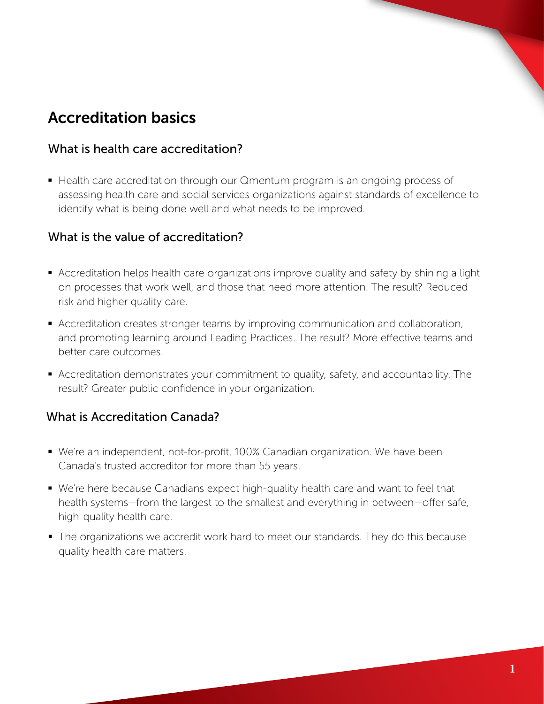# Accreditation basics

## What is health care accreditation?

 Health care accreditation through our Qmentum program is an ongoing process of assessing health care and social services organizations against standards of excellence to identify what is being done well and what needs to be improved.

### What is the value of accreditation?

- Accreditation helps health care organizations improve quality and safety by shining a light on processes that work well, and those that need more attention. The result? Reduced risk and higher quality care.
- Accreditation creates stronger teams by improving communication and collaboration, and promoting learning around Leading Practices. The result? More effective teams and better care outcomes.
- Accreditation demonstrates your commitment to quality, safety, and accountability. The result? Greater public confidence in your organization.

## What is Accreditation Canada?

- We're an independent, not-for-profit, 100% Canadian organization. We have been Canada's trusted accreditor for more than 55 years.
- We're here because Canadians expect high-quality health care and want to feel that health systems—from the largest to the smallest and everything in between—offer safe, high-quality health care.
- The organizations we accredit work hard to meet our standards. They do this because quality health care matters.